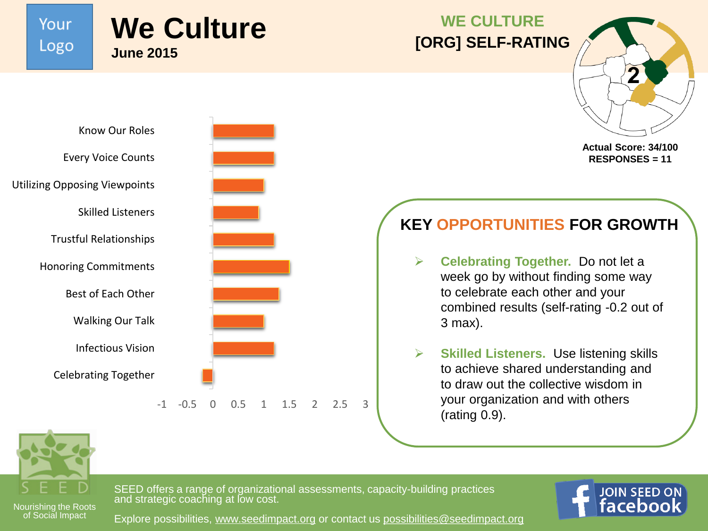Your Logo

Know Our Roles

Skilled Listeners

Trustful Relationships

Honoring Commitments

Best of Each Other

Walking Our Talk

Infectious Vision

Celebrating Together

Every Voice Counts

Utilizing Opposing Viewpoints

## **We Culture June 2015**

#### **WE CULTURE [ORG] SELF-RATING**



**Actual Score: 34/100 RESPONSES = 11**

### **KEY OPPORTUNITIES FOR GROWTH**

- **Celebrating Together.** Do not let a week go by without finding some way to celebrate each other and your combined results (self-rating -0.2 out of 3 max).
- **Skilled Listeners.** Use listening skills to achieve shared understanding and to draw out the collective wisdom in your organization and with others (rating 0.9).



of Social Impact



SEED offers a range of organizational assessments, capacity-building practices and strategic coaching at low cost.



Explore possibilities, [www.seedimpact.org](http://www.seedimpact.org) or contact us [possibilities@seedimpact.org](mailto:possibilities@seedimpact.org?subject=Sustainability Planning-Opportunities at a Glance)